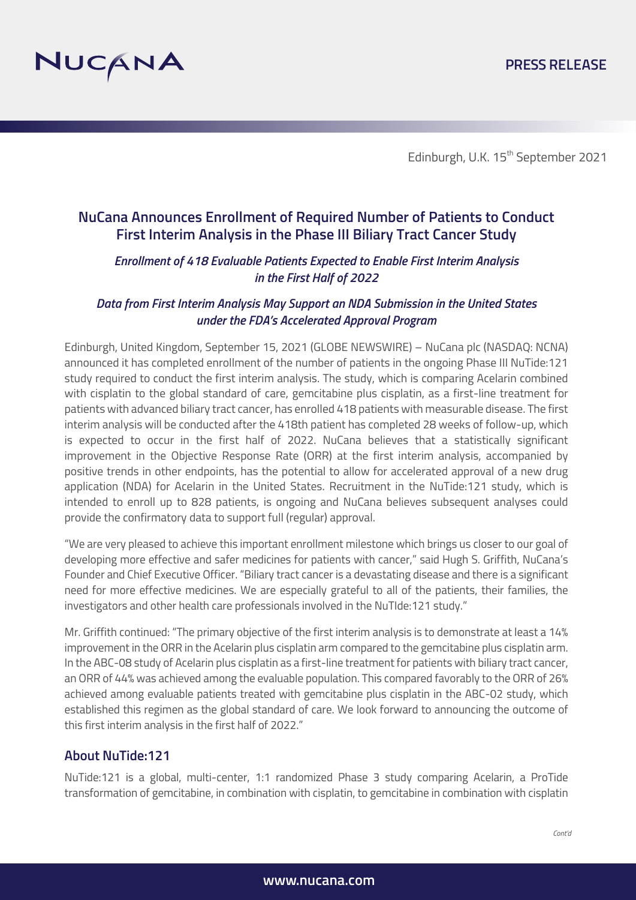

Edinburgh, U.K. 15<sup>th</sup> September 2021

# **NuCana Announces Enrollment of Required Number of Patients to Conduct First Interim Analysis in the Phase III Biliary Tract Cancer Study**

### *Enrollment of 418 Evaluable Patients Expected to Enable First Interim Analysis in the First Half of 2022*

## *Data from First Interim Analysis May Support an NDA Submission in the United States under the FDA's Accelerated Approval Program*

Edinburgh, United Kingdom, September 15, 2021 (GLOBE NEWSWIRE) – NuCana plc (NASDAQ: NCNA) announced it has completed enrollment of the number of patients in the ongoing Phase III NuTide:121 study required to conduct the first interim analysis. The study, which is comparing Acelarin combined with cisplatin to the global standard of care, gemcitabine plus cisplatin, as a first-line treatment for patients with advanced biliary tract cancer, has enrolled 418 patients with measurable disease. The first interim analysis will be conducted after the 418th patient has completed 28 weeks of follow-up, which is expected to occur in the first half of 2022. NuCana believes that a statistically significant improvement in the Objective Response Rate (ORR) at the first interim analysis, accompanied by positive trends in other endpoints, has the potential to allow for accelerated approval of a new drug application (NDA) for Acelarin in the United States. Recruitment in the NuTide:121 study, which is intended to enroll up to 828 patients, is ongoing and NuCana believes subsequent analyses could provide the confirmatory data to support full (regular) approval.

"We are very pleased to achieve this important enrollment milestone which brings us closer to our goal of developing more effective and safer medicines for patients with cancer," said Hugh S. Griffith, NuCana's Founder and Chief Executive Officer. "Biliary tract cancer is a devastating disease and there is a significant need for more effective medicines. We are especially grateful to all of the patients, their families, the investigators and other health care professionals involved in the NuTIde:121 study."

Mr. Griffith continued: "The primary objective of the first interim analysis is to demonstrate at least a 14% improvement in the ORR in the Acelarin plus cisplatin arm compared to the gemcitabine plus cisplatin arm. In the ABC-08 study of Acelarin plus cisplatin as a first-line treatment for patients with biliary tract cancer, an ORR of 44% was achieved among the evaluable population. This compared favorably to the ORR of 26% achieved among evaluable patients treated with gemcitabine plus cisplatin in the ABC-02 study, which established this regimen as the global standard of care. We look forward to announcing the outcome of this first interim analysis in the first half of 2022."

## **About NuTide:121**

NuTide:121 is a global, multi-center, 1:1 randomized Phase 3 study comparing Acelarin, a ProTide transformation of gemcitabine, in combination with cisplatin, to gemcitabine in combination with cisplatin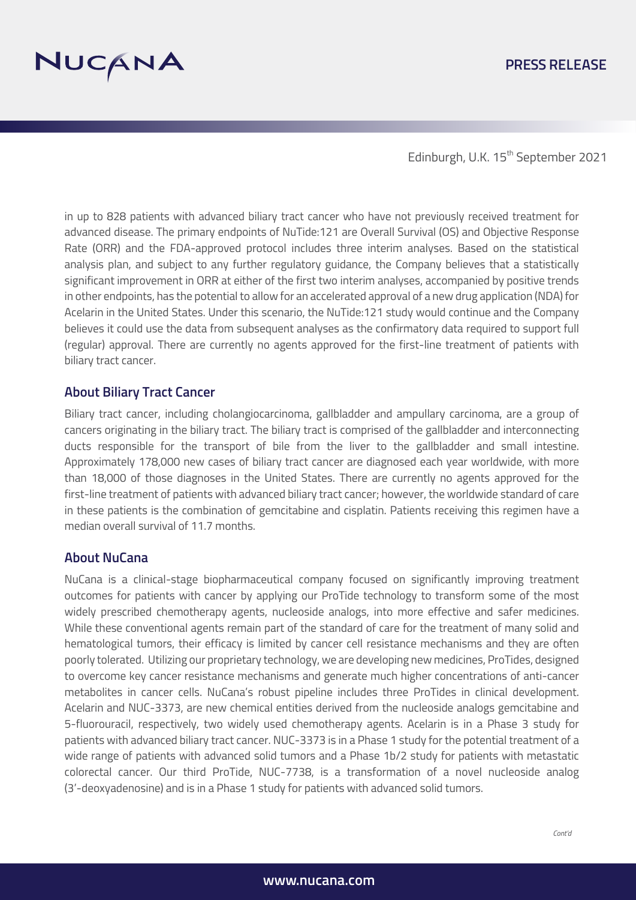

### **PRESS RELEASE**

Edinburgh, U.K. 15<sup>th</sup> September 2021

in up to 828 patients with advanced biliary tract cancer who have not previously received treatment for advanced disease. The primary endpoints of NuTide:121 are Overall Survival (OS) and Objective Response Rate (ORR) and the FDA-approved protocol includes three interim analyses. Based on the statistical analysis plan, and subject to any further regulatory guidance, the Company believes that a statistically significant improvement in ORR at either of the first two interim analyses, accompanied by positive trends in other endpoints, has the potential to allow for an accelerated approval of a new drug application (NDA) for Acelarin in the United States. Under this scenario, the NuTide:121 study would continue and the Company believes it could use the data from subsequent analyses as the confirmatory data required to support full (regular) approval. There are currently no agents approved for the first-line treatment of patients with biliary tract cancer.

#### **About Biliary Tract Cancer**

Biliary tract cancer, including cholangiocarcinoma, gallbladder and ampullary carcinoma, are a group of cancers originating in the biliary tract. The biliary tract is comprised of the gallbladder and interconnecting ducts responsible for the transport of bile from the liver to the gallbladder and small intestine. Approximately 178,000 new cases of biliary tract cancer are diagnosed each year worldwide, with more than 18,000 of those diagnoses in the United States. There are currently no agents approved for the first-line treatment of patients with advanced biliary tract cancer; however, the worldwide standard of care in these patients is the combination of gemcitabine and cisplatin. Patients receiving this regimen have a median overall survival of 11.7 months.

#### **About NuCana**

NuCana is a clinical-stage biopharmaceutical company focused on significantly improving treatment outcomes for patients with cancer by applying our ProTide technology to transform some of the most widely prescribed chemotherapy agents, nucleoside analogs, into more effective and safer medicines. While these conventional agents remain part of the standard of care for the treatment of many solid and hematological tumors, their efficacy is limited by cancer cell resistance mechanisms and they are often poorly tolerated. Utilizing our proprietary technology, we are developing new medicines, ProTides, designed to overcome key cancer resistance mechanisms and generate much higher concentrations of anti-cancer metabolites in cancer cells. NuCana's robust pipeline includes three ProTides in clinical development. Acelarin and NUC-3373, are new chemical entities derived from the nucleoside analogs gemcitabine and 5-fluorouracil, respectively, two widely used chemotherapy agents. Acelarin is in a Phase 3 study for patients with advanced biliary tract cancer. NUC-3373 is in a Phase 1 study for the potential treatment of a wide range of patients with advanced solid tumors and a Phase 1b/2 study for patients with metastatic colorectal cancer. Our third ProTide, NUC-7738, is a transformation of a novel nucleoside analog (3'-deoxyadenosine) and is in a Phase 1 study for patients with advanced solid tumors.